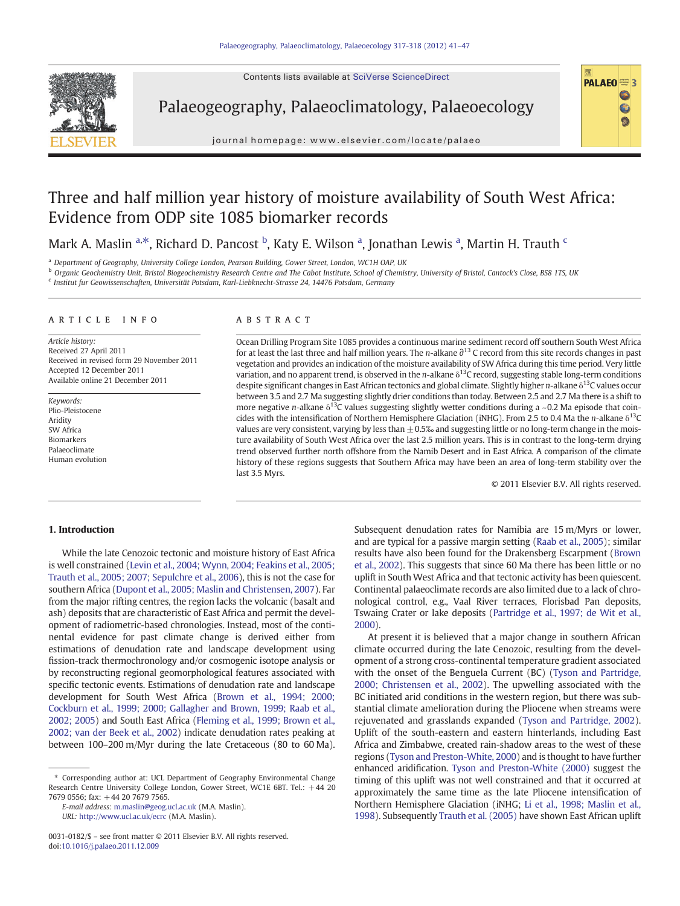Contents lists available at SciVerse ScienceDirect

<span id="page-0-0"></span>

Palaeogeography, Palaeoclimatology, Palaeoecology



journal homepage: www.elsevier.com/locate/palaeo

# Three and half million year history of moisture availability of South West Africa: Evidence from ODP site 1085 biomarker records

Mark A. Maslin <sup>a,\*</sup>, Richard D. Pancost <sup>b</sup>, Katy E. Wilson <sup>a</sup>, Jonathan Lewis <sup>a</sup>, Martin H. Trauth <sup>c</sup>

<sup>a</sup> Department of Geography, University College London, Pearson Building, Gower Street, London, WC1H OAP, UK

**b** Organic Geochemistry Unit, Bristol Biogeochemistry Research Centre and The Cabot Institute, School of Chemistry, University of Bristol, Cantock's Close, BS8 1TS, UK

<sup>c</sup> Institut fur Geowissenschaften, Universität Potsdam, Karl-Liebknecht-Strasse 24, 14476 Potsdam, Germany

#### ARTICLE INFO ABSTRACT

Article history: Received 27 April 2011 Received in revised form 29 November 2011 Accepted 12 December 2011 Available online 21 December 2011

Keywords: Plio-Pleistocene Aridity SW Africa Biomarkers Palaeoclimate Human evolution

Ocean Drilling Program Site 1085 provides a continuous marine sediment record off southern South West Africa for at least the last three and half million years. The *n*-alkane  $\partial^{13}$  C record from this site records changes in past vegetation and provides an indication of the moisture availability of SW Africa during this time period. Very little variation, and no apparent trend, is observed in the *n*-alkane  $\delta^{13}$ C record, suggesting stable long-term conditions despite significant changes in East African tectonics and global climate. Slightly higher *n*-alkane δ<sup>13</sup>C values occur between 3.5 and 2.7 Ma suggesting slightly drier conditions than today. Between 2.5 and 2.7 Ma there is a shift to more negative *n*-alkane  $\delta^{13}$ C values suggesting slightly wetter conditions during a ~0.2 Ma episode that coincides with the intensification of Northern Hemisphere Glaciation (iNHG). From 2.5 to 0.4 Ma the n-alkane  $\delta^{13}C$ values are very consistent, varying by less than  $\pm$  0.5‰ and suggesting little or no long-term change in the moisture availability of South West Africa over the last 2.5 million years. This is in contrast to the long-term drying trend observed further north offshore from the Namib Desert and in East Africa. A comparison of the climate history of these regions suggests that Southern Africa may have been an area of long-term stability over the last 3.5 Myrs.

© 2011 Elsevier B.V. All rights reserved.

#### 1. Introduction

While the late Cenozoic tectonic and moisture history of East Africa is well constrained ([Levin et al., 2004; Wynn, 2004; Feakins et al., 2005;](#page-6-0) [Trauth et al., 2005; 2007; Sepulchre et al., 2006](#page-6-0)), this is not the case for southern Africa ([Dupont et al., 2005; Maslin and Christensen, 2007\)](#page-6-0). Far from the major rifting centres, the region lacks the volcanic (basalt and ash) deposits that are characteristic of East Africa and permit the development of radiometric-based chronologies. Instead, most of the continental evidence for past climate change is derived either from estimations of denudation rate and landscape development using fission-track thermochronology and/or cosmogenic isotope analysis or by reconstructing regional geomorphological features associated with specific tectonic events. Estimations of denudation rate and landscape development for South West Africa [\(Brown et al., 1994; 2000;](#page-5-0) [Cockburn et al., 1999; 2000; Gallagher and Brown, 1999; Raab et al.,](#page-5-0) [2002; 2005](#page-5-0)) and South East Africa [\(Fleming et al., 1999; Brown et al.,](#page-6-0) [2002; van der Beek et al., 2002](#page-6-0)) indicate denudation rates peaking at between 100–200 m/Myr during the late Cretaceous (80 to 60 Ma).

Subsequent denudation rates for Namibia are 15 m/Myrs or lower, and are typical for a passive margin setting [\(Raab et al., 2005\)](#page-6-0); similar results have also been found for the Drakensberg Escarpment ([Brown](#page-5-0) [et al., 2002\)](#page-5-0). This suggests that since 60 Ma there has been little or no uplift in South West Africa and that tectonic activity has been quiescent. Continental palaeoclimate records are also limited due to a lack of chronological control, e.g., Vaal River terraces, Florisbad Pan deposits, Tswaing Crater or lake deposits [\(Partridge et al., 1997; de Wit et al.,](#page-6-0) [2000](#page-6-0)).

At present it is believed that a major change in southern African climate occurred during the late Cenozoic, resulting from the development of a strong cross-continental temperature gradient associated with the onset of the Benguela Current (BC) ([Tyson and Partridge,](#page-6-0) [2000; Christensen et al., 2002](#page-6-0)). The upwelling associated with the BC initiated arid conditions in the western region, but there was substantial climate amelioration during the Pliocene when streams were rejuvenated and grasslands expanded ([Tyson and Partridge, 2002](#page-6-0)). Uplift of the south-eastern and eastern hinterlands, including East Africa and Zimbabwe, created rain-shadow areas to the west of these regions ([Tyson and Preston-White, 2000](#page-6-0)) and is thought to have further enhanced aridification. [Tyson and Preston-White \(2000\)](#page-6-0) suggest the timing of this uplift was not well constrained and that it occurred at approximately the same time as the late Pliocene intensification of Northern Hemisphere Glaciation (iNHG; [Li et al., 1998; Maslin et al.,](#page-6-0) [1998](#page-6-0)). Subsequently [Trauth et al. \(2005\)](#page-6-0) have shown East African uplift

<sup>⁎</sup> Corresponding author at: UCL Department of Geography Environmental Change Research Centre University College London, Gower Street, WC1E 6BT. Tel.: +44 20 7679 0556; fax: +44 20 7679 7565.

E-mail address: [m.maslin@geog.ucl.ac.uk](mailto:m.maslin@geog.ucl.ac.uk) (M.A. Maslin). URL: <http://www.ucl.ac.uk/ecrc> (M.A. Maslin).

<sup>0031-0182/\$</sup> – see front matter © 2011 Elsevier B.V. All rights reserved. doi:[10.1016/j.palaeo.2011.12.009](http://dx.doi.org/10.1016/j.palaeo.2011.12.009)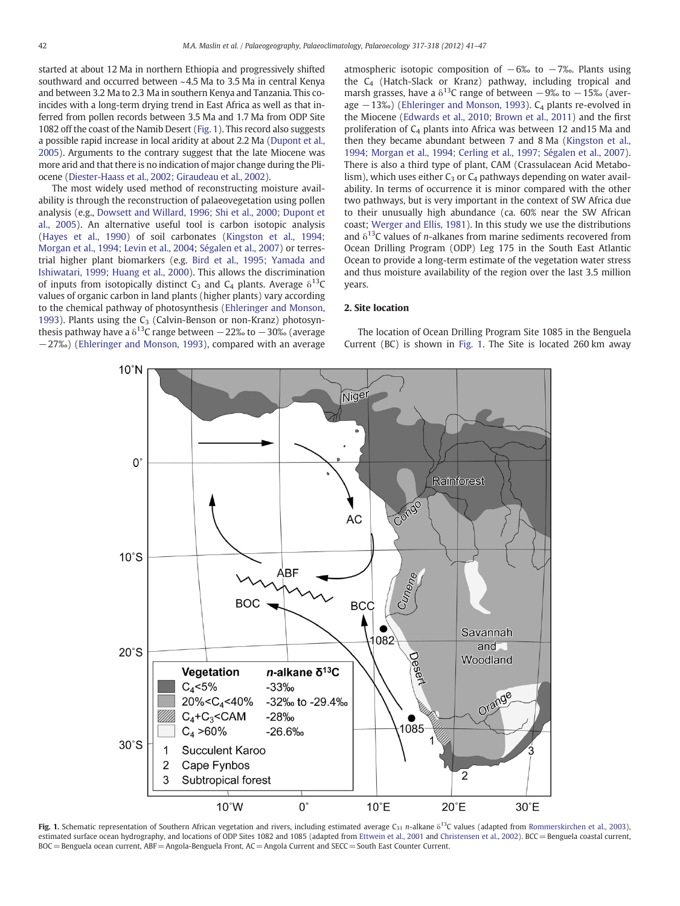<span id="page-1-0"></span>started at about 12 Ma in northern Ethiopia and progressively shifted southward and occurred between ~4.5 Ma to 3.5 Ma in central Kenya and between 3.2 Ma to 2.3 Ma in southern Kenya and Tanzania. This coincides with a long-term drying trend in East Africa as well as that inferred from pollen records between 3.5 Ma and 1.7 Ma from ODP Site 1082 off the coast of the Namib Desert (Fig. 1). This record also suggests a possible rapid increase in local aridity at about 2.2 Ma [\(Dupont et al.,](#page-6-0) [2005\)](#page-6-0). Arguments to the contrary suggest that the late Miocene was more arid and that there is no indication of major change during the Pliocene [\(Diester-Haass et al., 2002; Giraudeau et al., 2002](#page-6-0)).

The most widely used method of reconstructing moisture availability is through the reconstruction of palaeovegetation using pollen analysis (e.g., [Dowsett and Willard, 1996; Shi et al., 2000; Dupont et](#page-6-0) [al., 2005\)](#page-6-0). An alternative useful tool is carbon isotopic analysis [\(Hayes et al., 1990\)](#page-6-0) of soil carbonates [\(Kingston et al., 1994;](#page-6-0) [Morgan et al., 1994; Levin et al., 2004](#page-6-0); [Ségalen et al., 2007\)](#page-6-0) or terrestrial higher plant biomarkers (e.g. [Bird et al., 1995; Yamada and](#page-5-0) [Ishiwatari, 1999; Huang et al., 2000\)](#page-5-0). This allows the discrimination of inputs from isotopically distinct  $C_3$  and  $C_4$  plants. Average  $\delta^{13}C$ values of organic carbon in land plants (higher plants) vary according to the chemical pathway of photosynthesis [\(Ehleringer and Monson,](#page-6-0) [1993\)](#page-6-0). Plants using the  $C_3$  (Calvin-Benson or non-Kranz) photosynthesis pathway have a  $\delta^{13}$ C range between −22‰ to −30‰ (average −27‰) ([Ehleringer and Monson, 1993](#page-6-0)), compared with an average atmospheric isotopic composition of  $-6\%$  to  $-7\%$ . Plants using the  $C_4$  (Hatch-Slack or Kranz) pathway, including tropical and marsh grasses, have a  $\delta^{13}$ C range of between −9‰ to −15‰ (average  $-13%$ ) ([Ehleringer and Monson, 1993](#page-6-0)). C<sub>4</sub> plants re-evolved in the Miocene [\(Edwards et al., 2010; Brown et al., 2011](#page-6-0)) and the first proliferation of  $C_4$  plants into Africa was between 12 and 15 Ma and then they became abundant between 7 and 8 Ma [\(Kingston et al.,](#page-6-0) [1994; Morgan et al., 1994; Cerling et al., 1997; Ségalen et al., 2007](#page-6-0)). There is also a third type of plant, CAM (Crassulacean Acid Metabolism), which uses either  $C_3$  or  $C_4$  pathways depending on water availability. In terms of occurrence it is minor compared with the other two pathways, but is very important in the context of SW Africa due to their unusually high abundance (ca. 60% near the SW African coast; [Werger and Ellis, 1981\)](#page-6-0). In this study we use the distributions and  $\delta^{13}$ C values of *n*-alkanes from marine sediments recovered from Ocean Drilling Program (ODP) Leg 175 in the South East Atlantic Ocean to provide a long-term estimate of the vegetation water stress and thus moisture availability of the region over the last 3.5 million years.

# 2. Site location

The location of Ocean Drilling Program Site 1085 in the Benguela Current (BC) is shown in Fig. 1. The Site is located 260 km away



Fig. 1. Schematic representation of Southern African vegetation and rivers, including estimated average C<sub>31</sub> n-alkane  $\delta^{13}$ C values (adapted from [Rommerskirchen et al., 2003\)](#page-6-0), estimated surface ocean hydrography, and locations of ODP Sites 1082 and 1085 (adapted from [Ettwein et al., 2001](#page-6-0) and [Christensen et al., 2002](#page-5-0)). BCC= Benguela coastal current, BOC= Benguela ocean current, ABF=Angola-Benguela Front, AC=Angola Current and SECC= South East Counter Current.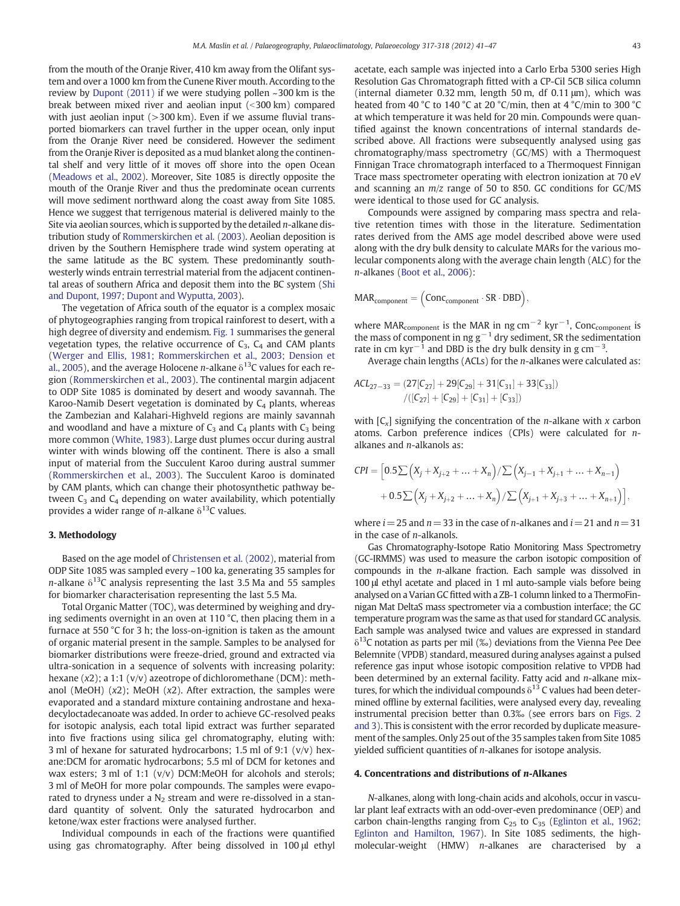from the mouth of the Oranje River, 410 km away from the Olifant system and over a 1000 km from the Cunene River mouth. According to the review by [Dupont \(2011\)](#page-6-0) if we were studying pollen ~300 km is the break between mixed river and aeolian input  $(< 300$  km) compared with just aeolian input  $(>300 \text{ km})$ . Even if we assume fluvial transported biomarkers can travel further in the upper ocean, only input from the Oranje River need be considered. However the sediment from the Oranje River is deposited as a mud blanket along the continental shelf and very little of it moves off shore into the open Ocean [\(Meadows et al., 2002](#page-6-0)). Moreover, Site 1085 is directly opposite the mouth of the Oranje River and thus the predominate ocean currents will move sediment northward along the coast away from Site 1085. Hence we suggest that terrigenous material is delivered mainly to the Site via aeolian sources, which is supported by the detailed  $n$ -alkane distribution study of [Rommerskirchen et al. \(2003\).](#page-6-0) Aeolian deposition is driven by the Southern Hemisphere trade wind system operating at the same latitude as the BC system. These predominantly southwesterly winds entrain terrestrial material from the adjacent continental areas of southern Africa and deposit them into the BC system ([Shi](#page-6-0) [and Dupont, 1997; Dupont and Wyputta, 2003\)](#page-6-0).

The vegetation of Africa south of the equator is a complex mosaic of phytogeographies ranging from tropical rainforest to desert, with a high degree of diversity and endemism. [Fig. 1](#page-1-0) summarises the general vegetation types, the relative occurrence of  $C_3$ ,  $C_4$  and CAM plants [\(Werger and Ellis, 1981; Rommerskirchen et al., 2003; Dension et](#page-6-0) [al., 2005\)](#page-6-0), and the average Holocene *n*-alkane  $\delta^{13}$ C values for each region [\(Rommerskirchen et al., 2003](#page-6-0)). The continental margin adjacent to ODP Site 1085 is dominated by desert and woody savannah. The Karoo-Namib Desert vegetation is dominated by  $C_4$  plants, whereas the Zambezian and Kalahari-Highveld regions are mainly savannah and woodland and have a mixture of  $C_3$  and  $C_4$  plants with  $C_3$  being more common [\(White, 1983\)](#page-6-0). Large dust plumes occur during austral winter with winds blowing off the continent. There is also a small input of material from the Succulent Karoo during austral summer [\(Rommerskirchen et al., 2003\)](#page-6-0). The Succulent Karoo is dominated by CAM plants, which can change their photosynthetic pathway between  $C_3$  and  $C_4$  depending on water availability, which potentially provides a wider range of *n*-alkane  $\delta^{13}$ C values.

### 3. Methodology

Based on the age model of [Christensen et al. \(2002\),](#page-5-0) material from ODP Site 1085 was sampled every ~100 ka, generating 35 samples for n-alkane  $\delta^{13}$ C analysis representing the last 3.5 Ma and 55 samples for biomarker characterisation representing the last 5.5 Ma.

Total Organic Matter (TOC), was determined by weighing and drying sediments overnight in an oven at 110 °C, then placing them in a furnace at 550 °C for 3 h; the loss-on-ignition is taken as the amount of organic material present in the sample. Samples to be analysed for biomarker distributions were freeze-dried, ground and extracted via ultra-sonication in a sequence of solvents with increasing polarity: hexane (x2); a 1:1 (v/v) azeotrope of dichloromethane (DCM): methanol (MeOH)  $(x2)$ ; MeOH  $(x2)$ . After extraction, the samples were evaporated and a standard mixture containing androstane and hexadecyloctadecanoate was added. In order to achieve GC-resolved peaks for isotopic analysis, each total lipid extract was further separated into five fractions using silica gel chromatography, eluting with: 3 ml of hexane for saturated hydrocarbons; 1.5 ml of 9:1 (v/v) hexane:DCM for aromatic hydrocarbons; 5.5 ml of DCM for ketones and wax esters; 3 ml of 1:1 (v/v) DCM:MeOH for alcohols and sterols; 3 ml of MeOH for more polar compounds. The samples were evaporated to dryness under a  $N_2$  stream and were re-dissolved in a standard quantity of solvent. Only the saturated hydrocarbon and ketone/wax ester fractions were analysed further.

Individual compounds in each of the fractions were quantified using gas chromatography. After being dissolved in 100 μl ethyl acetate, each sample was injected into a Carlo Erba 5300 series High Resolution Gas Chromatograph fitted with a CP-Cil 5CB silica column (internal diameter 0.32 mm, length 50 m, df 0.11 μm), which was heated from 40 °C to 140 °C at 20 °C/min, then at 4 °C/min to 300 °C at which temperature it was held for 20 min. Compounds were quantified against the known concentrations of internal standards described above. All fractions were subsequently analysed using gas chromatography/mass spectrometry (GC/MS) with a Thermoquest Finnigan Trace chromatograph interfaced to a Thermoquest Finnigan Trace mass spectrometer operating with electron ionization at 70 eV and scanning an  $m/z$  range of 50 to 850. GC conditions for GC/MS were identical to those used for GC analysis.

Compounds were assigned by comparing mass spectra and relative retention times with those in the literature. Sedimentation rates derived from the AMS age model described above were used along with the dry bulk density to calculate MARs for the various molecular components along with the average chain length (ALC) for the n-alkanes [\(Boot et al., 2006](#page-5-0)):

$$
MAR_{component} = (Conc_{component} \cdot SR \cdot DBD),
$$

where MAR<sub>component</sub> is the MAR in ng cm<sup>-2</sup> kyr<sup>-1</sup>, Conc<sub>component</sub> is the mass of component in ng  $g^{-1}$  dry sediment, SR the sedimentation rate in cm kyr<sup>-1</sup> and DBD is the dry bulk density in g cm<sup>-3</sup>.

Average chain lengths (ACLs) for the n-alkanes were calculated as:

$$
ACL_{27-33} = (27[C_{27}] + 29[C_{29}] + 31[C_{31}] + 33[C_{33}])
$$

$$
/([C_{27}] + [C_{29}] + [C_{31}] + [C_{33}])
$$

with  $[C_x]$  signifying the concentration of the *n*-alkane with *x* carbon atoms. Carbon preference indices (CPIs) were calculated for nalkanes and n-alkanols as:

$$
CPI = \left[0.5\sum (X_j + X_{j+2} + \dots + X_n)/\sum (X_{j-1} + X_{j+1} + \dots + X_{n-1}) + 0.5\sum (X_j + X_{j+2} + \dots + X_n)/\sum (X_{j+1} + X_{j+3} + \dots + X_{n+1})\right],
$$

where  $i = 25$  and  $n = 33$  in the case of n-alkanes and  $i = 21$  and  $n = 31$ in the case of  $n$ -alkanols.

Gas Chromatography-Isotope Ratio Monitoring Mass Spectrometry (GC-IRMMS) was used to measure the carbon isotopic composition of compounds in the n-alkane fraction. Each sample was dissolved in 100 μl ethyl acetate and placed in 1 ml auto-sample vials before being analysed on a Varian GC fitted with a ZB-1 column linked to a ThermoFinnigan Mat DeltaS mass spectrometer via a combustion interface; the GC temperature program was the same as that used for standard GC analysis. Each sample was analysed twice and values are expressed in standard  $\delta^{13}$ C notation as parts per mil (‰) deviations from the Vienna Pee Dee Belemnite (VPDB) standard, measured during analyses against a pulsed reference gas input whose isotopic composition relative to VPDB had been determined by an external facility. Fatty acid and  $n$ -alkane mixtures, for which the individual compounds  $\delta^{13}$  C values had been determined offline by external facilities, were analysed every day, revealing instrumental precision better than 0.3‰ (see errors bars on [Figs. 2](#page-3-0) [and 3](#page-3-0)). This is consistent with the error recorded by duplicate measurement of the samples. Only 25 out of the 35 samples taken from Site 1085 yielded sufficient quantities of n-alkanes for isotope analysis.

#### 4. Concentrations and distributions of n-Alkanes

N-alkanes, along with long-chain acids and alcohols, occur in vascular plant leaf extracts with an odd-over-even predominance (OEP) and carbon chain-lengths ranging from  $C_{25}$  to  $C_{35}$  ([Eglinton et al., 1962;](#page-6-0) [Eglinton and Hamilton, 1967\)](#page-6-0). In Site 1085 sediments, the highmolecular-weight (HMW) n-alkanes are characterised by a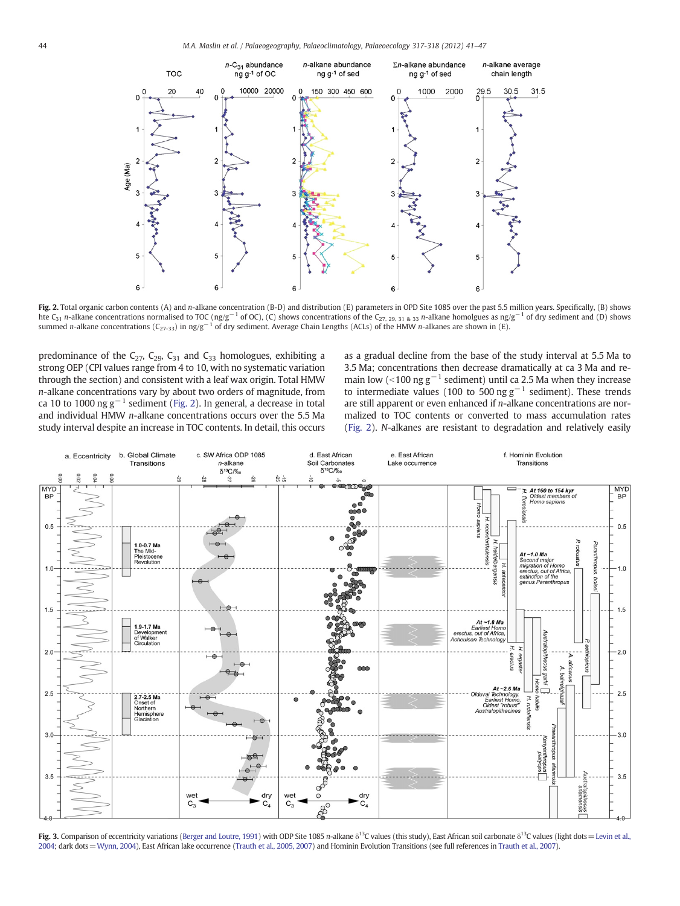<span id="page-3-0"></span>

Fig. 2. Total organic carbon contents (A) and n-alkane concentration (B-D) and distribution (E) parameters in OPD Site 1085 over the past 5.5 million years. Specifically, (B) shows hte C<sub>31</sub> n-alkane concentrations normalised to TOC (ng/g<sup>-1</sup> of OC), (C) shows concentrations of the C<sub>27, 29, 31 & 33</sub> n-alkane homolgues as ng/g<sup>-1</sup> of dry sediment and (D) shows summed n-alkane concentrations (C<sub>27-33</sub>) in ng/g<sup>-1</sup> of dry sediment. Average Chain Lengths (ACLs) of the HMW n-alkanes are shown in (E).

predominance of the  $C_{27}$ ,  $C_{29}$ ,  $C_{31}$  and  $C_{33}$  homologues, exhibiting a strong OEP (CPI values range from 4 to 10, with no systematic variation through the section) and consistent with a leaf wax origin. Total HMW n-alkane concentrations vary by about two orders of magnitude, from ca 10 to 1000 ng  $g^{-1}$  sediment (Fig. 2). In general, a decrease in total and individual HMW n-alkane concentrations occurs over the 5.5 Ma study interval despite an increase in TOC contents. In detail, this occurs

as a gradual decline from the base of the study interval at 5.5 Ma to 3.5 Ma; concentrations then decrease dramatically at ca 3 Ma and remain low (<100 ng  $g^{-1}$  sediment) until ca 2.5 Ma when they increase to intermediate values (100 to 500 ng  $g^{-1}$  sediment). These trends are still apparent or even enhanced if *n*-alkane concentrations are normalized to TOC contents or converted to mass accumulation rates (Fig. 2). N-alkanes are resistant to degradation and relatively easily



Fig. 3. Comparison of eccentricity variations [\(Berger and Loutre, 1991](#page-5-0)) with ODP Site 1085 n-alkane  $\delta^{13}$ C values (this study), East African soil carbonate  $\delta^{13}$ C values (light dots = [Levin et al.,](#page-6-0) [2004;](#page-6-0) dark dots=[Wynn, 2004\)](#page-6-0), East African lake occurrence [\(Trauth et al., 2005, 2007](#page-6-0)) and Hominin Evolution Transitions (see full references in [Trauth et al., 2007\)](#page-6-0).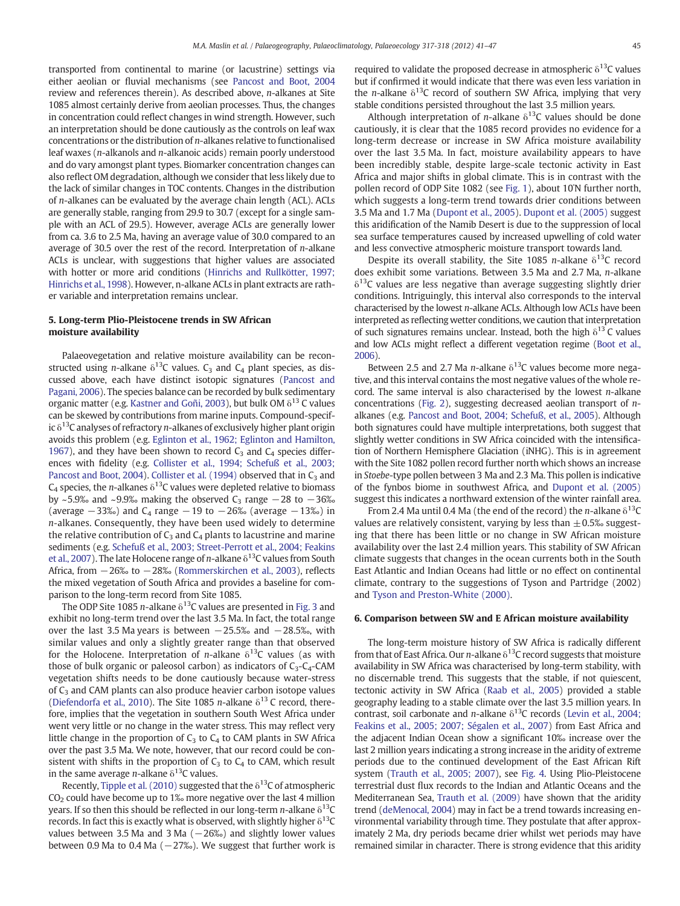transported from continental to marine (or lacustrine) settings via either aeolian or fluvial mechanisms (see [Pancost and Boot, 2004](#page-6-0) review and references therein). As described above, n-alkanes at Site 1085 almost certainly derive from aeolian processes. Thus, the changes in concentration could reflect changes in wind strength. However, such an interpretation should be done cautiously as the controls on leaf wax concentrations or the distribution of n-alkanes relative to functionalised leaf waxes (n-alkanols and n-alkanoic acids) remain poorly understood and do vary amongst plant types. Biomarker concentration changes can also reflect OM degradation, although we consider that less likely due to the lack of similar changes in TOC contents. Changes in the distribution of n-alkanes can be evaluated by the average chain length (ACL). ACLs are generally stable, ranging from 29.9 to 30.7 (except for a single sample with an ACL of 29.5). However, average ACLs are generally lower from ca. 3.6 to 2.5 Ma, having an average value of 30.0 compared to an average of 30.5 over the rest of the record. Interpretation of n-alkane ACLs is unclear, with suggestions that higher values are associated with hotter or more arid conditions [\(Hinrichs and Rullkötter, 1997;](#page-6-0) [Hinrichs et al., 1998](#page-6-0)). However, n-alkane ACLs in plant extracts are rather variable and interpretation remains unclear.

# 5. Long-term Plio-Pleistocene trends in SW African moisture availability

Palaeovegetation and relative moisture availability can be reconstructed using *n*-alkane  $\delta^{13}$ C values. C<sub>3</sub> and C<sub>4</sub> plant species, as discussed above, each have distinct isotopic signatures [\(Pancost and](#page-6-0) [Pagani, 2006](#page-6-0)). The species balance can be recorded by bulk sedimentary organic matter (e.g. [Kastner and Goñi, 2003\)](#page-6-0), but bulk OM  $\delta^{13}$  C values can be skewed by contributions from marine inputs. Compound-specific  $\delta^{13}$ C analyses of refractory *n*-alkanes of exclusively higher plant origin avoids this problem (e.g. [Eglinton et al., 1962; Eglinton and Hamilton,](#page-6-0) [1967](#page-6-0)), and they have been shown to record  $C_3$  and  $C_4$  species differences with fidelity (e.g. [Collister et al., 1994; Schefuß et al., 2003;](#page-6-0) [Pancost and Boot, 2004](#page-6-0)). [Collister et al. \(1994\)](#page-6-0) observed that in  $C_3$  and  $C_4$  species, the *n*-alkanes  $\delta^{13}$ C values were depleted relative to biomass by ~5.9‰ and ~9.9‰ making the observed C<sub>3</sub> range  $-28$  to  $-36$ ‰ (average  $-33\%$ ) and C<sub>4</sub> range  $-19$  to  $-26\%$  (average  $-13\%$ ) in n-alkanes. Consequently, they have been used widely to determine the relative contribution of  $C_3$  and  $C_4$  plants to lacustrine and marine sediments (e.g. [Schefuß et al., 2003; Street-Perrott et al., 2004; Feakins](#page-6-0) [et al., 2007\)](#page-6-0). The late Holocene range of *n*-alkane  $\delta^{13}$ C values from South Africa, from −26‰ to −28‰ [\(Rommerskirchen et al., 2003\)](#page-6-0), reflects the mixed vegetation of South Africa and provides a baseline for comparison to the long-term record from Site 1085.

The ODP Site 1085 n-alkane  $\delta^{13}$ C values are presented in [Fig. 3](#page-3-0) and exhibit no long-term trend over the last 3.5 Ma. In fact, the total range over the last 3.5 Ma years is between −25.5‰ and −28.5‰, with similar values and only a slightly greater range than that observed for the Holocene. Interpretation of n-alkane  $\delta^{13}C$  values (as with those of bulk organic or paleosol carbon) as indicators of  $C_3$ - $C_4$ -CAM vegetation shifts needs to be done cautiously because water-stress of  $C_3$  and CAM plants can also produce heavier carbon isotope values [\(Diefendorfa et al., 2010](#page-6-0)). The Site 1085 n-alkane  $\delta^{13}$  C record, therefore, implies that the vegetation in southern South West Africa under went very little or no change in the water stress. This may reflect very little change in the proportion of  $C_3$  to  $C_4$  to CAM plants in SW Africa over the past 3.5 Ma. We note, however, that our record could be consistent with shifts in the proportion of  $C_3$  to  $C_4$  to CAM, which result in the same average *n*-alkane  $\delta^{13}$ C values.

Recently, [Tipple et al. \(2010\)](#page-6-0) suggested that the  $\delta^{13}$ C of atmospheric CO2 could have become up to 1‰ more negative over the last 4 million years. If so then this should be reflected in our long-term *n*-alkane  $\delta^{13}C$ records. In fact this is exactly what is observed, with slightly higher  $\delta^{13}C$ values between 3.5 Ma and 3 Ma  $(-26%)$  and slightly lower values between 0.9 Ma to 0.4 Ma  $(-27\%)$ . We suggest that further work is required to validate the proposed decrease in atmospheric  $\delta^{13}$ C values but if confirmed it would indicate that there was even less variation in the *n*-alkane  $\delta^{13}$ C record of southern SW Africa, implying that very stable conditions persisted throughout the last 3.5 million years.

Although interpretation of *n*-alkane  $\delta^{13}$ C values should be done cautiously, it is clear that the 1085 record provides no evidence for a long-term decrease or increase in SW Africa moisture availability over the last 3.5 Ma. In fact, moisture availability appears to have been incredibly stable, despite large-scale tectonic activity in East Africa and major shifts in global climate. This is in contrast with the pollen record of ODP Site 1082 (see [Fig. 1](#page-1-0)), about 10˚N further north, which suggests a long-term trend towards drier conditions between 3.5 Ma and 1.7 Ma ([Dupont et al., 2005](#page-6-0)). [Dupont et al. \(2005\)](#page-6-0) suggest this aridification of the Namib Desert is due to the suppression of local sea surface temperatures caused by increased upwelling of cold water and less convective atmospheric moisture transport towards land.

Despite its overall stability, the Site 1085 n-alkane  $\delta^{13}$ C record does exhibit some variations. Between 3.5 Ma and 2.7 Ma, n-alkane  $\delta^{13}$ C values are less negative than average suggesting slightly drier conditions. Intriguingly, this interval also corresponds to the interval characterised by the lowest n-alkane ACLs. Although low ACLs have been interpreted as reflecting wetter conditions, we caution that interpretation of such signatures remains unclear. Instead, both the high  $\delta^{13}$  C values and low ACLs might reflect a different vegetation regime [\(Boot et al.,](#page-5-0) [2006\)](#page-5-0).

Between 2.5 and 2.7 Ma n-alkane  $\delta^{13}$ C values become more negative, and this interval contains the most negative values of the whole record. The same interval is also characterised by the lowest  $n$ -alkane concentrations ([Fig. 2\)](#page-3-0), suggesting decreased aeolian transport of nalkanes (e.g. [Pancost and Boot, 2004; Schefuß, et al., 2005\)](#page-6-0). Although both signatures could have multiple interpretations, both suggest that slightly wetter conditions in SW Africa coincided with the intensification of Northern Hemisphere Glaciation (iNHG). This is in agreement with the Site 1082 pollen record further north which shows an increase in Stoebe-type pollen between 3 Ma and 2.3 Ma. This pollen is indicative of the fynbos biome in southwest Africa, and [Dupont et al. \(2005\)](#page-6-0) suggest this indicates a northward extension of the winter rainfall area.

From 2.4 Ma until 0.4 Ma (the end of the record) the *n*-alkane  $\delta^{13}$ C values are relatively consistent, varying by less than  $\pm$  0.5% suggesting that there has been little or no change in SW African moisture availability over the last 2.4 million years. This stability of SW African climate suggests that changes in the ocean currents both in the South East Atlantic and Indian Oceans had little or no effect on continental climate, contrary to the suggestions of Tyson and Partridge (2002) and [Tyson and Preston-White \(2000\)](#page-6-0).

#### 6. Comparison between SW and E African moisture availability

The long-term moisture history of SW Africa is radically different from that of East Africa. Our *n*-alkane  $\delta^{13}$ C record suggests that moisture availability in SW Africa was characterised by long-term stability, with no discernable trend. This suggests that the stable, if not quiescent, tectonic activity in SW Africa [\(Raab et al., 2005\)](#page-6-0) provided a stable geography leading to a stable climate over the last 3.5 million years. In contrast, soil carbonate and n-alkane  $\delta^{13}$ C records [\(Levin et al., 2004;](#page-6-0) [Feakins et al., 2005; 2007; Ségalen et al., 2007](#page-6-0)) from East Africa and the adjacent Indian Ocean show a significant 10‰ increase over the last 2 million years indicating a strong increase in the aridity of extreme periods due to the continued development of the East African Rift system [\(Trauth et al., 2005; 2007\)](#page-6-0), see [Fig. 4.](#page-5-0) Using Plio-Pleistocene terrestrial dust flux records to the Indian and Atlantic Oceans and the Mediterranean Sea, [Trauth et al. \(2009\)](#page-6-0) have shown that the aridity trend [\(deMenocal, 2004\)](#page-6-0) may in fact be a trend towards increasing environmental variability through time. They postulate that after approximately 2 Ma, dry periods became drier whilst wet periods may have remained similar in character. There is strong evidence that this aridity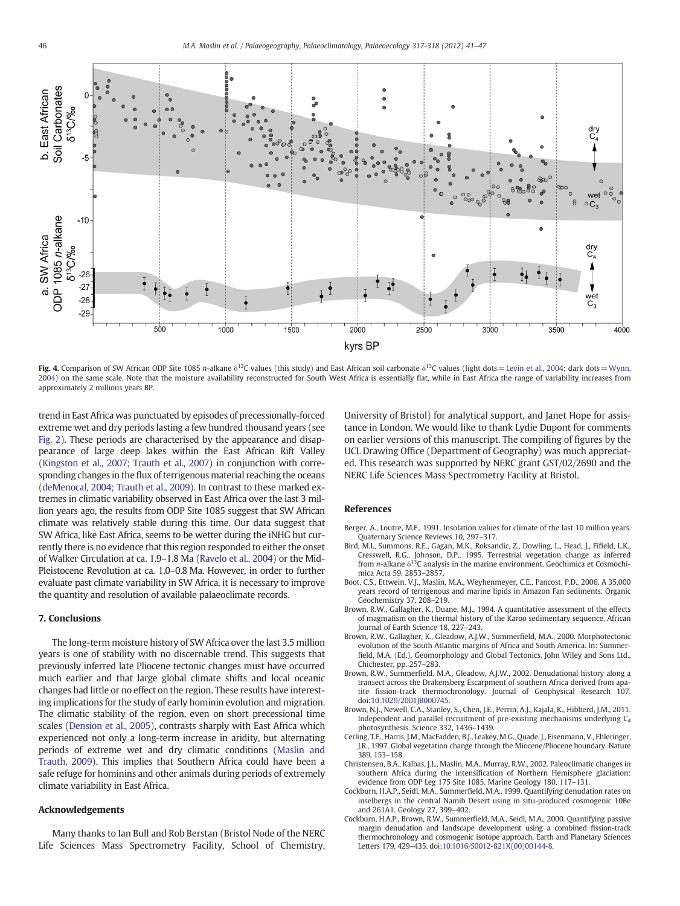<span id="page-5-0"></span>

Fig. 4. Comparison of SW African ODP Site 1085 n-alkane  $\delta^{13}C$  values (this study) and East African soil carbonate  $\delta^{13}C$  values (light dots = [Levin et al., 2004;](#page-6-0) dark dots = [Wynn,](#page-6-0) [2004](#page-6-0)) on the same scale. Note that the moisture availability reconstructed for South West Africa is essentially flat, while in East Africa the range of variability increases from approximately 2 millions years BP.

trend in East Africa was punctuated by episodes of precessionally-forced extreme wet and dry periods lasting a few hundred thousand years (see [Fig. 2](#page-3-0)). These periods are characterised by the appearance and disappearance of large deep lakes within the East African Rift Valley [\(Kingston et al., 2007; Trauth et al., 2007](#page-6-0)) in conjunction with corresponding changes in the flux of terrigenous material reaching the oceans [\(deMenocal, 2004; Trauth et al., 2009](#page-6-0)). In contrast to these marked extremes in climatic variability observed in East Africa over the last 3 million years ago, the results from ODP Site 1085 suggest that SW African climate was relatively stable during this time. Our data suggest that SW Africa, like East Africa, seems to be wetter during the iNHG but currently there is no evidence that this region responded to either the onset of Walker Circulation at ca. 1.9–1.8 Ma [\(Ravelo et al., 2004\)](#page-6-0) or the Mid-Pleistocene Revolution at ca. 1.0–0.8 Ma. However, in order to further evaluate past climate variability in SW Africa, it is necessary to improve the quantity and resolution of available palaeoclimate records.

#### 7. Conclusions

The long-term moisture history of SW Africa over the last 3.5 million years is one of stability with no discernable trend. This suggests that previously inferred late Pliocene tectonic changes must have occurred much earlier and that large global climate shifts and local oceanic changes had little or no effect on the region. These results have interesting implications for the study of early hominin evolution and migration. The climatic stability of the region, even on short precessional time scales [\(Dension et al., 2005\)](#page-6-0), contrasts sharply with East Africa which experienced not only a long-term increase in aridity, but alternating periods of extreme wet and dry climatic conditions ([Maslin and](#page-6-0) [Trauth, 2009\)](#page-6-0). This implies that Southern Africa could have been a safe refuge for hominins and other animals during periods of extremely climate variability in East Africa.

## Acknowledgements

Many thanks to Ian Bull and Rob Berstan (Bristol Node of the NERC Life Sciences Mass Spectrometry Facility, School of Chemistry, University of Bristol) for analytical support, and Janet Hope for assistance in London. We would like to thank Lydie Dupont for comments on earlier versions of this manuscript. The compiling of figures by the UCL Drawing Office (Department of Geography) was much appreciated. This research was supported by NERC grant GST/02/2690 and the NERC Life Sciences Mass Spectrometry Facility at Bristol.

### References

- Berger, A., Loutre, M.F., 1991. Insolation values for climate of the last 10 million years. Quaternary Science Reviews 10, 297–317.
- Bird, M.I., Summons, R.E., Gagan, M.K., Roksandic, Z., Dowling, L., Head, J., Fifield, L.K., Cresswell, R.G., Johnson, D.P., 1995. Terrestrial vegetation change as inferred from *n*-alkane  $\delta^{13}$ C analysis in the marine environment. Geochimica et Cosmochimica Acta 59, 2853–2857.
- Boot, C.S., Ettwein, V.J., Maslin, M.A., Weyhenmeyer, C.E., Pancost, P.D., 2006. A 35,000 years record of terrigenous and marine lipids in Amazon Fan sediments. Organic Geochemistry 37, 208–219.
- Brown, R.W., Gallagher, K., Duane, M.J., 1994. A quantitative assessment of the effects of magmatism on the thermal history of the Karoo sedimentary sequence. African Journal of Earth Science 18, 227–243.
- Brown, R.W., Gallagher, K., Gleadow, A.J.W., Summerfield, M.A., 2000. Morphotectonic evolution of the South Atlantic margins of Africa and South America. In: Summerfield, M.A. (Ed.), Geomorphology and Global Tectonics. John Wiley and Sons Ltd., Chichester, pp. 257–283.
- Brown, R.W., Summerfield, M.A., Gleadow, A.J.W., 2002. Denudational history along a transect across the Drakensberg Escarpment of southern Africa derived from apatite fission-track thermochronology. Journal of Geophysical Research 107. doi[:10.1029/2001JB000745](http://dx.doi.org/10.1029/2001JB000745).
- Brown, N.J., Newell, C.A., Stanley, S., Chen, J.E., Perrin, A.J., Kajala, K., Hibberd, J.M., 2011. Independent and parallel recruitment of pre-existing mechanisms underlying C4 photosynthesis. Science 332, 1436–1439.
- Cerling, T.E., Harris, J.M., MacFadden, B.J., Leakey, M.G., Quade, J., Eisenmann, V., Ehleringer, J.R., 1997. Global vegetation change through the Miocene/Pliocene boundary. Nature 389, 153–158.
- Christensen, B.A., Kalbas, J.L., Maslin, M.A., Murray, R.W., 2002. Paleoclimatic changes in southern Africa during the intensification of Northern Hemisphere glaciation: evidence from ODP Leg 175 Site 1085. Marine Geology 180, 117–131.
- Cockburn, H.A.P., Seidl, M.A., Summerfield, M.A., 1999. Quantifying denudation rates on inselbergs in the central Namib Desert using in situ-produced cosmogenic 10Be and 261A1. Geology 27, 399–402.
- Cockburn, H.A.P., Brown, R.W., Summerfield, M.A., Seidl, M.A., 2000. Quantifying passive margin denudation and landscape development using a combined fission-track thermochronology and cosmogenic isotope approach. Earth and Planetary Sciences Letters 179, 429–435. doi[:10.1016/S0012-821X\(00\)00144-8.](#page-0-0)